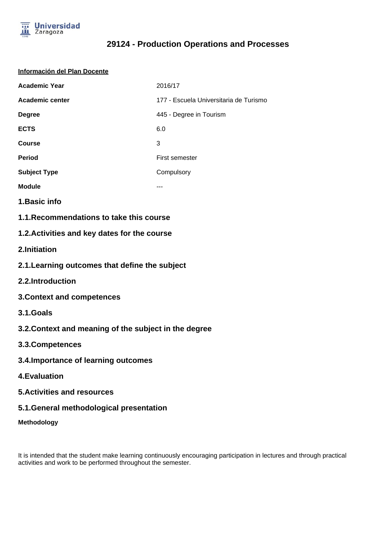

#### **Información del Plan Docente**

| <b>Academic Year</b> | 2016/17                                |
|----------------------|----------------------------------------|
| Academic center      | 177 - Escuela Universitaria de Turismo |
| <b>Degree</b>        | 445 - Degree in Tourism                |
| <b>ECTS</b>          | 6.0                                    |
| <b>Course</b>        | 3                                      |
| <b>Period</b>        | First semester                         |
| <b>Subject Type</b>  | Compulsory                             |
| <b>Module</b>        |                                        |

- **1.Basic info**
- **1.1.Recommendations to take this course**

### **1.2.Activities and key dates for the course**

- **2.Initiation**
- **2.1.Learning outcomes that define the subject**
- **2.2.Introduction**
- **3.Context and competences**
- **3.1.Goals**
- **3.2.Context and meaning of the subject in the degree**
- **3.3.Competences**
- **3.4.Importance of learning outcomes**
- **4.Evaluation**
- **5.Activities and resources**
- **5.1.General methodological presentation**
- **Methodology**

It is intended that the student make learning continuously encouraging participation in lectures and through practical activities and work to be performed throughout the semester.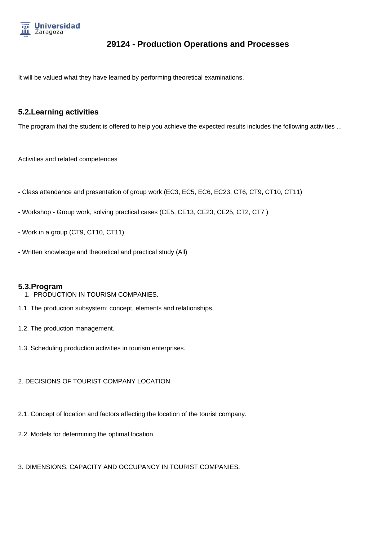

It will be valued what they have learned by performing theoretical examinations.

### **5.2.Learning activities**

The program that the student is offered to help you achieve the expected results includes the following activities ...

Activities and related competences

- Class attendance and presentation of group work (EC3, EC5, EC6, EC23, CT6, CT9, CT10, CT11)
- Workshop Group work, solving practical cases (CE5, CE13, CE23, CE25, CT2, CT7 )
- Work in a group (CT9, CT10, CT11)
- Written knowledge and theoretical and practical study (All)

#### **5.3.Program**

- 1. PRODUCTION IN TOURISM COMPANIES.
- 1.1. The production subsystem: concept, elements and relationships.
- 1.2. The production management.
- 1.3. Scheduling production activities in tourism enterprises.
- 2. DECISIONS OF TOURIST COMPANY LOCATION.
- 2.1. Concept of location and factors affecting the location of the tourist company.
- 2.2. Models for determining the optimal location.
- 3. DIMENSIONS, CAPACITY AND OCCUPANCY IN TOURIST COMPANIES.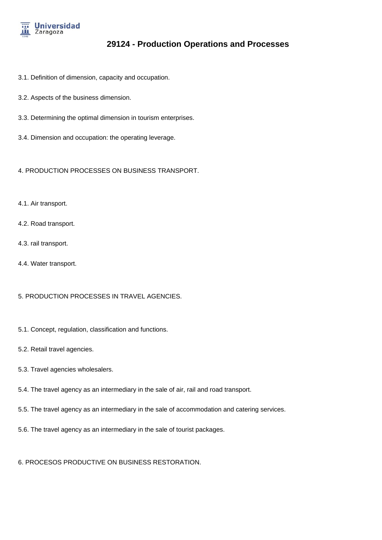

- 3.1. Definition of dimension, capacity and occupation.
- 3.2. Aspects of the business dimension.
- 3.3. Determining the optimal dimension in tourism enterprises.
- 3.4. Dimension and occupation: the operating leverage.

4. PRODUCTION PROCESSES ON BUSINESS TRANSPORT.

- 4.1. Air transport.
- 4.2. Road transport.
- 4.3. rail transport.
- 4.4. Water transport.

5. PRODUCTION PROCESSES IN TRAVEL AGENCIES.

- 5.1. Concept, regulation, classification and functions.
- 5.2. Retail travel agencies.
- 5.3. Travel agencies wholesalers.
- 5.4. The travel agency as an intermediary in the sale of air, rail and road transport.
- 5.5. The travel agency as an intermediary in the sale of accommodation and catering services.
- 5.6. The travel agency as an intermediary in the sale of tourist packages.

6. PROCESOS PRODUCTIVE ON BUSINESS RESTORATION.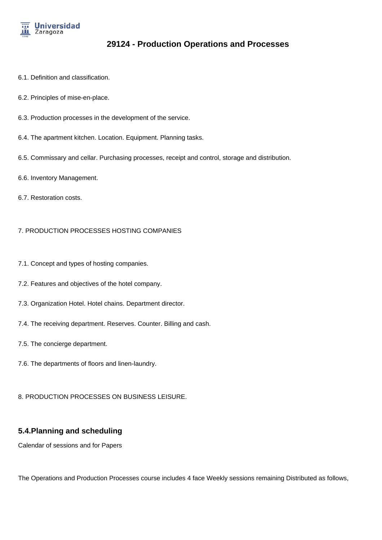

- 6.1. Definition and classification.
- 6.2. Principles of mise-en-place.
- 6.3. Production processes in the development of the service.
- 6.4. The apartment kitchen. Location. Equipment. Planning tasks.
- 6.5. Commissary and cellar. Purchasing processes, receipt and control, storage and distribution.
- 6.6. Inventory Management.
- 6.7. Restoration costs.

#### 7. PRODUCTION PROCESSES HOSTING COMPANIES

- 7.1. Concept and types of hosting companies.
- 7.2. Features and objectives of the hotel company.
- 7.3. Organization Hotel. Hotel chains. Department director.
- 7.4. The receiving department. Reserves. Counter. Billing and cash.
- 7.5. The concierge department.
- 7.6. The departments of floors and linen-laundry.
- 8. PRODUCTION PROCESSES ON BUSINESS LEISURE.

#### **5.4.Planning and scheduling**

Calendar of sessions and for Papers

The Operations and Production Processes course includes 4 face Weekly sessions remaining Distributed as follows,